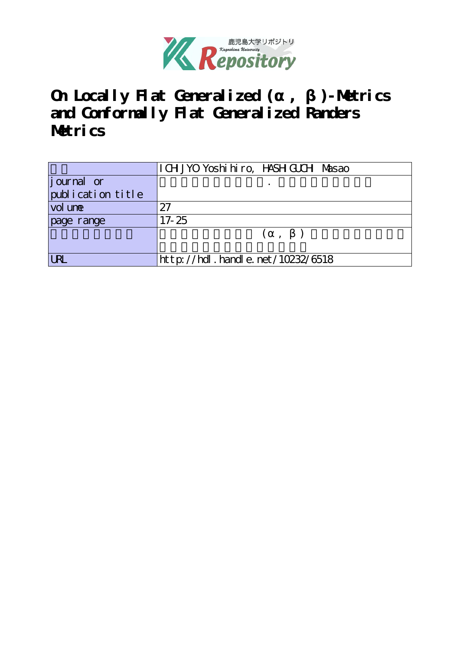

**On Locally Flat Generalized (α, β)-Metrics and Conformally Flat Generalized Randers Metrics**

|                   | I CH JYO Yoshi hiro, HASH GUCH Masao |
|-------------------|--------------------------------------|
| journal or        |                                      |
| publication title |                                      |
| vol une           | 27                                   |
| page range        | $17 - 25$                            |
|                   |                                      |
|                   |                                      |
| <b>LRL</b>        | http://hdl.handle.net/10232/6518     |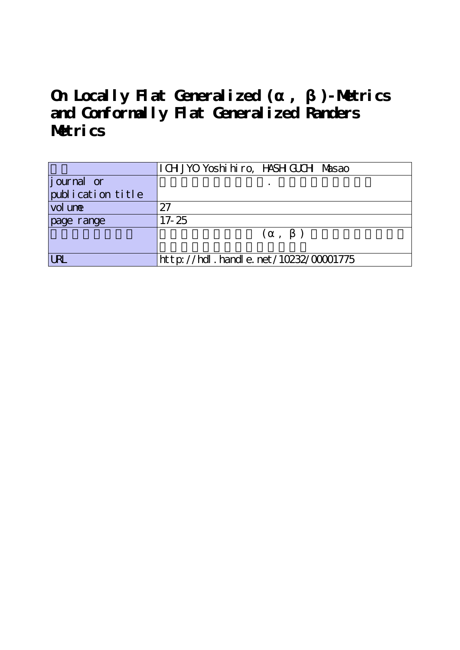**On Locally Flat Generalized (α, β)-Metrics and Conformally Flat Generalized Randers Metrics**

|                   | I CH JYO Yoshi hiro, HASH GUCH Masao |
|-------------------|--------------------------------------|
| j ournal or       |                                      |
| publication title |                                      |
| vol une           | 27                                   |
| page range        | $17 - 25$                            |
|                   | ( , )                                |
|                   |                                      |
| IRI               | http://hdl.handle.net/10232/00001775 |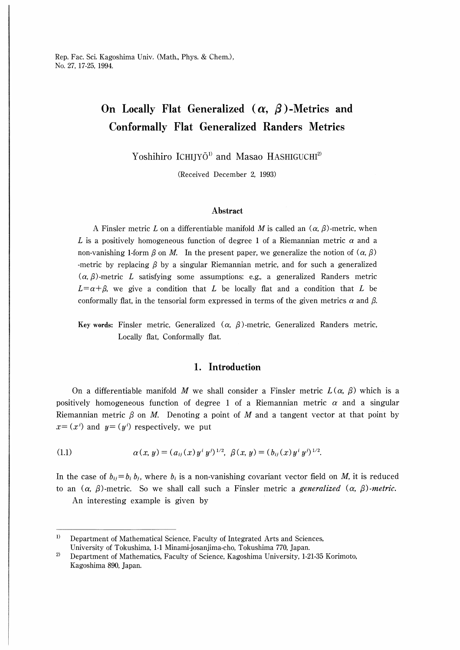# On Locally Flat Generalized  $(\alpha, \beta)$ -Metrics and Conformally Flat Generalized Randers Metrics

Yoshihiro ICHIJYO<sup>1)</sup> and Masao HASHIGUCHI<sup>2)</sup>

(Received December 2, 1993)

#### Abstract

A Finsler metric L on a differentiable manifold M is called an  $(\alpha, \beta)$ -metric, when L is a positively homogeneous function of degree 1 of a Riemannian metric  $\alpha$  and a non-vanishing 1-form β on M. In the present paper, we generalize the notion of  $(α, β)$ -metric by replacing  $\beta$  by a singular Riemannian metric, and for such a generalized  $(\alpha, \beta)$ -metric L satisfying some assumptions: e.g., a generalized Randers metric  $L = \alpha + \beta$ , we give a condition that L be locally flat and a condition that L be conformally flat, in the tensorial form expressed in terms of the given metrics  $\alpha$  and  $\beta$ .

Key words: Finsler metric, Generalized ( $\alpha$ , β)-metric, Generalized Randers metric, Locally flat, Conformally flat.

#### 1. Introduction

On a differentiable manifold M we shall consider a Finsler metric  $L(\alpha, \beta)$  which is a positively homogeneous function of degree 1 of a Riemannian metric  $\alpha$  and a singular Riemannian metric  $\beta$  on M. Denoting a point of M and a tangent vector at that point by  $x=(x^i)$  and  $y=(y^i)$  respectively, we put

(1.1) 
$$
\alpha(x, y) = (a_{ij}(x) y^i y^j)^{1/2}, \ \beta(x, y) = (b_{ij}(x) y^i y^j)^{1/2}.
$$

In the case of  $b_{ij} = b_i b_j$ , where  $b_i$  is a non-vanishing covariant vector field on M, it is reduced to an  $(\alpha, \beta)$ -metric. So we shall call such a Finsler metric a *generalized*  $(\alpha, \beta)$ -metric.

An interesting example is given by

 $1)$ Department of Mathematical Science, Faculty of Integrated Arts and Sciences, University of Tokushima, 1-1 Minami-josanjima-cho, Tokushima 770, Japan.

 $2)$ Department of Mathematics, Faculty of Science, Kagoshima University, 1-21-35 Korimoto, Kagoshima 890, Japan.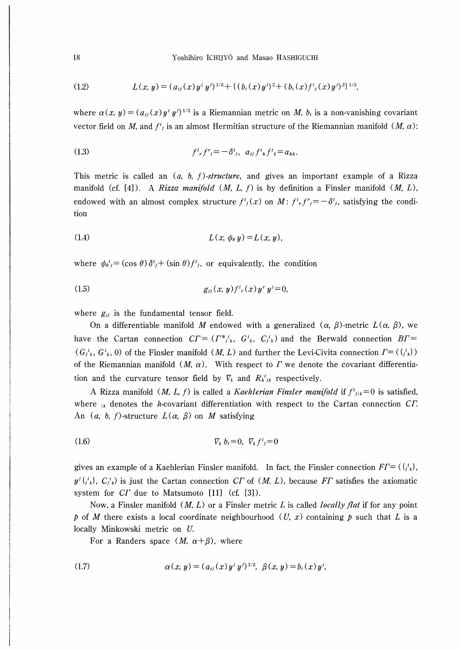(1.2) 
$$
L(x, y) = (a_{ij}(x) y^i y^{j})^{1/2} + \{(b_i(x) y^i)^2 + (b_i(x) f^i{}_j(x) y^j)^2\}^{1/2},
$$

where  $\alpha(x, y) = (a_{ij}(x)y^i y^j)^{1/2}$  is a Riemannian metric on *M*,  $b_i$  is a non-vanishing covariant vector field on M, and  $f^i_j$  is an almost Hermitian structure of the Riemannian manifold  $(M, \alpha)$ :

(1.3) 
$$
f^{i}{}_{r} f^{r}{}_{j} = - \delta^{i}{}_{j}, \ a_{ij} f^{i}{}_{h} f^{j}{}_{k} = a_{hk}.
$$

This metric is called an  $(a, b, f)$ -structure, and gives an important example of a Rizza manifold (cf. [4]). A Rizza manifold  $(M, L, f)$  is by definition a Finsler manifold  $(M, L)$ , endowed with an almost complex structure  $f^i_j(x)$  on  $M: f^i f'^j = -\delta^i j$ , satisfying the condition

$$
(1.4) \t\t\t L(x, \phi_{\theta} y) = L(x, y),
$$

where  $\phi_{\theta}^{i} = (\cos \theta) \delta^{i}{}_{j} + (\sin \theta) f^{i}{}_{j}$ , or equivalently, the condition

(1.5) 
$$
g_{ij}(x, y) f^{i}{}_{r}(x) y^{r} y^{j} = 0,
$$

where  $g_{ij}$  is the fundamental tensor field.

On a differentiable manifold M endowed with a generalized  $(\alpha, \beta)$ -metric  $L(\alpha, \beta)$ , we have the Cartan connection  $CT = (T^*j_k, G^i_k, C^i_j)$  and the Berwald connection  $BT =$  $(G_{i,k}^i, G_{k,i}^i, 0)$  of the Finsler manifold  $(M, L)$  and further the Levi-Civita connection  $\Gamma = (\{i_k\})$ of the Riemannian manifold  $(M, \alpha)$ . With respect to T we denote the covariant differentiation and the curvature tensor field by  $\nabla_k$  and  $R_h^i{}_{ik}$  respectively.

A Rizza manifold (*M, L, f*) is called a *Kaehlerian Finsler manifold* if  $f_{ijk}^i = 0$  is satisfied, where  $\kappa$  denotes the *h*-covariant differentiation with respect to the Cartan connection CT. An  $(a, b, f)$ -structure  $L(\alpha, \beta)$  on M satisfying

$$
\nabla_k b_i = 0, \ \nabla_k f^i = 0
$$

gives an example of a Kaehlerian Finsler manifold. In fact, the Finsler connection  $FT = (\{i_k\},\$  $y^{j}$  $\{j^i_k\}$ ,  $C_j^{i_k}$ ) is just the Cartan connection CT of  $(M, L)$ , because FT satisfies the axiomatic system for  $CI$  due to Matsumoto [11] (cf. [3]).

Now, a Finsler manifold  $(M, L)$  or a Finsler metric L is called *locally flat* if for any point p of M there exists a local coordinate neighbourhood (U, x) containing p such that L is a locally Minkowski metric on U.

For a Randers space  $(M, \alpha + \beta)$ , where

(1.7) 
$$
\alpha(x, y) = (a_{ij}(x) y^i y^{j})^{1/2}, \ \beta(x, y) = b_i(x) y^i,
$$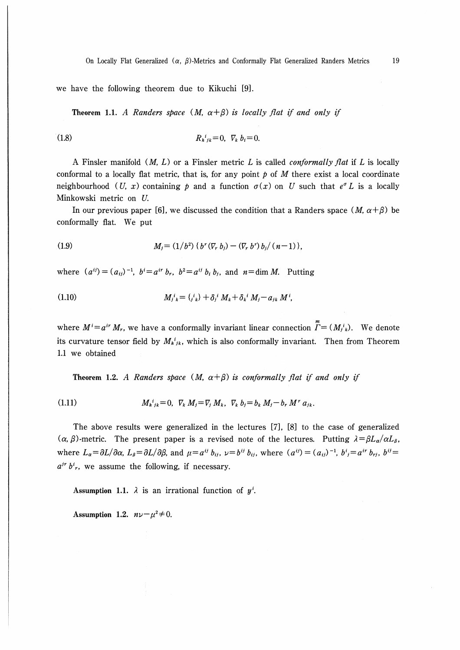we have the following theorem due to Kikuchi [9J.

Theorem 1.1. A Randers space  $(M, \alpha + \beta)$  is locally flat if and only if

(1.8) 
$$
R_{h}{}^{i}{}_{jk}=0, \ \nabla_{k} b_{i}=0.
$$

A Finsler manifold  $(M, L)$  or a Finsler metric L is called *conformally flat* if L is locally conformal to a locally flat metric, that is, for any point  $\beta$  of M there exist a local coordinate neighbourhood (U, x) containing p and a function  $\sigma(x)$  on U such that  $e^{\sigma} L$  is a locally Minkowski metric on U.

In our previous paper [6], we discussed the condition that a Randers space  $(M, \alpha + \beta)$  be conformally flat. We put

(1.9) 
$$
M_j = (1/b^2) \{ b^r (\nabla_r b_j) - (\nabla_r b^r) b_j / (n-1) \},
$$

where  $(a^{ij})=(a_{ij})^{-1}$ ,  $b^i=a^{ir}b_r$ ,  $b^2=a^{ij}b_i b_j$ , and  $n=\dim M$ . Putting

(1.10) 
$$
M_{j k}^{i} = \{j k \} + \delta_{j}^{i} M_{k} + \delta_{k}^{i} M_{j} - a_{j k} M^{i},
$$

where  $M^i = a^{ir} M_r$ , we have a conformally invariant linear connection  $\overline{\Gamma} = (M^i)^i$ . We denote its curvature tensor field by  $M_h^i{}_{ik}$ , which is also conformally invariant. Then from Theorem 1.1 we obtained

Theorem 1.2. A Randers space  $(M, \alpha + \beta)$  is conformally flat if and only if

(1.11) 
$$
M_{hjk}^{i} = 0, \ \nabla_k M_j = \nabla_j M_k, \ \nabla_k b_j = b_k M_j - b_r M^r a_{jk}.
$$

The above results were generalized in the lectures [7], [8] to the case of generalized  $(\alpha, \beta)$ -metric. The present paper is a revised note of the lectures. Putting  $\lambda = \beta L_{\alpha}/\alpha L_{\beta}$ , where  $L_{\alpha} = \partial L/\partial \alpha$ ,  $L_{\beta} = \partial L/\partial \beta$ , and  $\mu = a^{ij} b_{ij}$ ,  $\nu = b^{ij} b_{ij}$ , where  $(a^{ij}) = (a_{ij})^{-1}$ ,  $b^{i} = a^{ir} b_{ij}$ ,  $b^{ij} = a^{ij} b_{ij}$  $a^{ir} b^i_r$ , we assume the following, if necessary.

Assumption 1.1.  $\lambda$  is an irrational function of  $y^i$ .

Assumption 1.2.  $n\nu-\mu^2\neq 0$ .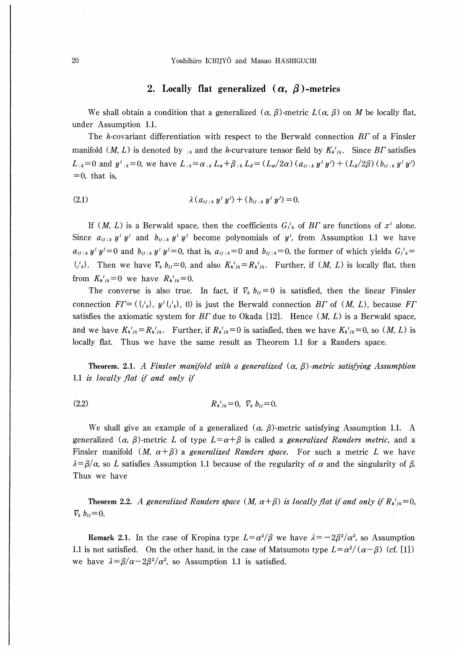20 Yoshihiro ICHIJYO and Masao HASHIGUCHI

# 2. Locally flat generalized  $(\alpha, \beta)$ -metrics

We shall obtain a condition that a generalized  $(\alpha, \beta)$ -metric  $L(\alpha, \beta)$  on M be locally flat, under Assumption 1.1.

The *h*-covariant differentiation with respect to the Berwald connection  $BT$  of a Finsler manifold (*M, L*) is denoted by  $\kappa_k$  and the *h*-curvature tensor field by  $K_h^i{}_{ik}$ . Since BT satisfies  $L_{ik}=0$  and  $y^{i}_{ik}=0$ , we have  $L_{ik}=\alpha_{ik}L_{\alpha}+\beta_{ik}L_{\beta}=(L_{\alpha}/2\alpha)(a_{ij,k}y^{i}y^{j})+(L_{\beta}/2\beta)(b_{ij,k}y^{i}y^{j})$  $=0$ , that is,

(2.1) 
$$
\lambda (a_{ij,k} y^i y^j) + (b_{ij,k} y^i y^j) = 0.
$$

If  $(M, L)$  is a Berwald space, then the coefficients  $G_{ik}^{i}$  of BT are functions of  $x^{i}$  alone. Since  $a_{ij,k} y^i y^j$  and  $b_{ij,k} y^i y^j$  become polynomials of  $y^i$ , from Assumption 1.1 we have  $a_{ij,k}y^iy^j=0$  and  $b_{ij,k}y^iy^j=0$ , that is,  $a_{ij,k}=0$  and  $b_{ij,k}=0$ , the former of which yields  $G_{jk}^i=0$  $\{j^i_k\}$ . Then we have  $\nabla_k b_{ij}=0$ , and also  $K_h^i{}_{ik}=R_h^i{}_{ik}$ . Further, if  $(M, L)$  is locally flat, then from  $K_h{}^i{}_{jk}=0$  we have  $R_h{}^i{}_{jk}=0$ .

The converse is also true. In fact, if  $\nabla_k b_{ij}=0$  is satisfied, then the linear Finsler connection  $FT = (\{i_k\}, y^j \{i_k\}, 0)$  is just the Berwald connection BT of  $(M, L)$ , because FT satisfies the axiomatic system for  $BT$  due to Okada [12]. Hence  $(M, L)$  is a Berwald space, and we have  $K_{h}^{i}{}_{jk}=R_{h}^{i}{}_{jk}$ . Further, if  $R_{h}^{i}{}_{jk}=0$  is satisfied, then we have  $K_{h}^{i}{}_{jk}=0$ , so  $(M, L)$  is locally flat. Thus we have the same result as Theorem 1.1 for a Randers space.

Theorem. 2.1. A Finsler manifold with a generalized  $(\alpha, \beta)$ -metric satisfying Assumption 1.1 is locally flat if and only if

(2.2) 
$$
R_{h}{}^{i}{}_{jk}=0, \ \nabla_{k} b_{ij}=0.
$$

We shall give an example of a generalized  $(\alpha, \beta)$ -metric satisfying Assumption 1.1. A generalized ( $\alpha$ ,  $\beta$ )-metric L of type  $L = \alpha + \beta$  is called a *generalized Randers metric*, and a Finsler manifold (M,  $\alpha + \beta$ ) a generalized Randers space. For such a metric L we have  $\lambda = \beta/\alpha$ , so L satisfies Assumption 1.1 because of the regularity of  $\alpha$  and the singularity of  $\beta$ . Thus we have

Theorem 2.2. A generalized Randers space  $(M, \alpha + \beta)$  is locally flat if and only if  $R_h^i{}_{ik}=0$ ,  $\nabla_k b_{ij}=0.$ 

Remark 2.1. In the case of Kropina type  $L = \alpha^2/\beta$  we have  $\lambda = -2\beta^2/\alpha^2$ , so Assumption 1.1 is not satisfied. On the other hand, in the case of Matsumoto type  $L = \alpha^2/(\alpha - \beta)$  (cf. [1]) we have  $\lambda = \frac{\beta}{\alpha} - \frac{2\beta^2}{\alpha^2}$ , so Assumption 1.1 is satisfied.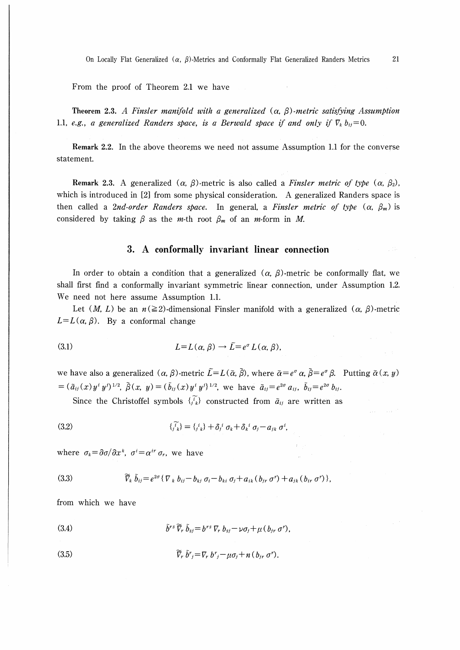On Locally Flat Generalized  $(\alpha, \beta)$ -Metrics and Conformally Flat Generalized Randers Metrics 21

From the proof of Theorem 2.1 we have

Theorem 2.3. A Finsler manifold with a generalized  $(\alpha, \beta)$ -metric satisfying Assumption 1.1, e.g., a generalized Randers space, is a Berwald space if and only if  $\nabla_k b_{ij}=0$ .

Remark 2.2. In the above theorems we need not assume Assumption 1.1 for the converse statement.

Remark 2.3. A generalized  $(\alpha, \beta)$ -metric is also called a *Finsler metric of type*  $(\alpha, \beta)$ , which is introduced in [2] from some physical consideration. A generalized Randers space is then called a 2nd-order Randers space. In general, a Finsler metric of type  $(\alpha, \beta_m)$  is considered by taking  $\beta$  as the *m*-th root  $\beta_m$  of an *m*-form in *M*.

# 3. A conformally invariant linear connection

In order to obtain a condition that a generalized  $(\alpha, \beta)$ -metric be conformally flat, we shall first find a conformally invariant symmetric linear connection, under Assumption 1.2. We need not here assume Assumption 1.1.

Let  $(M, L)$  be an  $n \geq 2$ -dimensional Finsler manifold with a generalized  $(\alpha, \beta)$ -metric  $L=L(\alpha,\beta)$ . By a conformal change

(3.1) 
$$
L = L(\alpha, \beta) \rightarrow \tilde{L} = e^{\sigma} L(\alpha, \beta),
$$

we have also a generalized  $(\alpha, \beta)$ -metric  $\tilde{L}=L(\tilde{\alpha}, \tilde{\beta})$ , where  $\tilde{\alpha}=e^{\sigma}\alpha$ ,  $\tilde{\beta}=e^{\sigma}\beta$ . Putting  $\tilde{\alpha}(x, y)$  $=(\tilde{a}_{ij}(x)y^i y^j)^{1/2}, \tilde{\beta}(x, y)=(\tilde{b}_{ij}(x)y^i y^j)^{1/2},$  we have  $\tilde{a}_{ij}=e^{2\sigma}a_{ij}, \tilde{b}_{ij}=e^{2\sigma}b_{ij}.$ 

Since the Christoffel symbols  $\{t_i\}_{i=1}^N$  constructed from  $\tilde{a}_{ij}$  are written as

(3.2) 
$$
\{\widetilde{i}_k\} = \{i_k\} + \delta_j^i \sigma_k + \delta_k^i \sigma_j - a_{jk} \sigma^i,
$$

where  $\sigma_k = \frac{\partial \sigma}{\partial x^k}$ ,  $\sigma^i = \alpha^{ir} \sigma_r$ , we have

(3.3) 
$$
\widetilde{V}_k \, \widetilde{b}_{ij} = e^{2\sigma} \{ \nabla_k \, b_{ij} - b_{ki} \, \sigma_i - b_{ki} \, \sigma_j + a_{ik} \, (b_{ir} \, \sigma^r) + a_{ik} \, (b_{ir} \, \sigma^r) \},
$$

from which we have

(3.4) 
$$
\tilde{b}^{rs}\,\tilde{\nabla}_r\,\tilde{b}_{sj} = b^{rs}\,\nabla_r\,b_{sj} - \nu\sigma_j + \mu\,(b_{jr}\,\sigma^r),
$$

(3.5) 
$$
\widetilde{V}_r \, \widetilde{b}^r_j = \nabla_r \, b^r_j - \mu \sigma_j + n \, (b_{jr} \, \sigma^r).
$$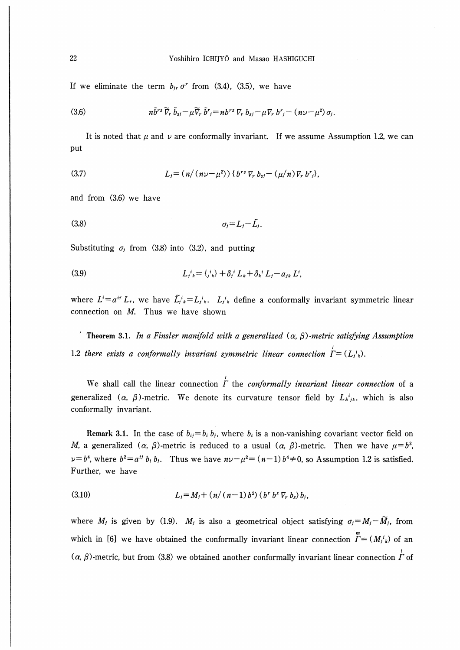If we eliminate the term  $b_{ir}\sigma^r$  from (3.4), (3.5), we have

(3.6) 
$$
n\tilde{b}^{rs}\widetilde{\nabla}_r\widetilde{b}_{sj}-\mu\widetilde{\nabla}_r\widetilde{b}^r{}_j=n b^{rs}\nabla_r b_{sj}-\mu\nabla_r b^r{}_j-(n\nu-\mu^2)\sigma_j.
$$

It is noted that  $\mu$  and  $\nu$  are conformally invariant. If we assume Assumption 1.2, we can put

(3.7) 
$$
L_j = (n/(n\nu - \mu^2)) \{b^{rs} \nabla_r b_{sj} - (\mu/n) \nabla_r b^r_j\},
$$

and from (3.6) we have

$$
\sigma_j = L_j - \tilde{L}_j.
$$

Substituting  $\sigma_j$  from (3.8) into (3.2), and putting

(3.9) 
$$
L_j{}^i{}_k = \{^i{}_k\} + \delta_j{}^i L_k + \delta_k{}^i L_j - a_{jk} L^i,
$$

where  $L^i = a^{ir} L_r$ , we have  $\tilde{L}_i^i{}_k = L_i^i{}_k$ .  $L_i^i{}_k$  define a conformally invariant symmetric linear connection on  $M$ . Thus we have shown

Theorem 3.1. In a Finsler manifold with a generalized (α, β)-metric satisfying Assumption 1.2 there exists a conformally invariant symmetric linear connection  $I = (L_i^i)_i$ .

We shall call the linear connection  $\dot{\Gamma}$  the *conformally invariant linear connection* of a generalized ( $\alpha$ ,  $\beta$ )-metric. We denote its curvature tensor field by  $L_{h}^{i}{}_{ik}$ , which is also conformally invariant.

Remark 3.1. In the case of  $b_{ij} = b_i b_j$ , where  $b_i$  is a non-vanishing covariant vector field on M, a generalized  $(\alpha, \beta)$ -metric is reduced to a usual  $(\alpha, \beta)$ -metric. Then we have  $\mu = b^2$ ,  $\nu=b^4$ , where  $b^2=a^{ij}b_i b_j$ . Thus we have  $n\nu-\mu^2=(n-1)b^4\neq 0$ , so Assumption 1.2 is satisfied. Further, we have

(3.10) 
$$
L_j = M_j + (n/(n-1) b^2) (b^r b^s \nabla_r b_s) b_j,
$$

where  $M_j$  is given by (1.9).  $M_j$  is also a geometrical object satisfying  $\sigma_j = M_j - \widetilde{M}_j$ , from which in [6] we have obtained the conformally invariant linear connection  $\sum_{k=1}^{m} (M_j^i)$  of an  $(\alpha, \beta)$ -metric, but from (3.8) we obtained another conformally invariant linear connection  $\dot{\Gamma}$  of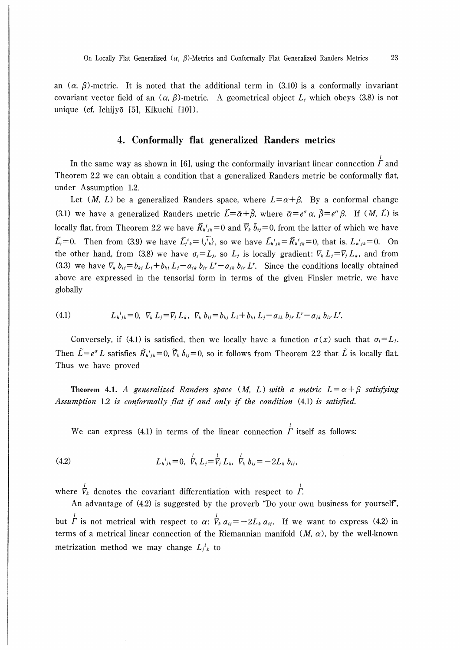an  $(\alpha, \beta)$ -metric. It is noted that the additional term in (3.10) is a conformally invariant covariant vector field of an  $(\alpha, \beta)$ -metric. A geometrical object  $L_i$ , which obeys (3.8) is not unique (cf. Ichijyō [5], Kikuchi [10]).

# 4, Conformally flat generalized Randers metrics

In the same way as shown in [6], using the conformally invariant linear connection  $\Gamma$  and Theorem 2.2 we can obtain a condition that a generalized Randers metric be conformally flat, under Assumption 1.2.

Let  $(M, L)$  be a generalized Randers space, where  $L = \alpha + \beta$ . By a conformal change (3.1) we have a generalized Randers metric  $\tilde{L} = \tilde{\alpha} + \tilde{\beta}$ , where  $\tilde{\alpha} = e^{\sigma} \alpha$ ,  $\tilde{\beta} = e^{\sigma} \beta$ . If  $(M, \tilde{L})$  is ′■ー′■ヽ■ll′ー locally flat, from Theorem 2.2 we have  $R_h{}^i{}_{ik}=0$  and  $\nabla_k b_{ij}=0$ , from the latter of which we have  $\tilde{L}_j=0$ . Then from (3.9) we have  $\tilde{L}_j^i{}_k=\{\tilde{i}_k^i\}$ , so we have  $\tilde{L}_h^i{}_{ik}=\tilde{R}_h^i{}_{ik}=0$ , that is,  $L_h^i{}_{ik}=0$ . On the other hand, from (3.8) we have  $\sigma_j = L_j$ , so  $L_j$  is locally gradient:  $\nabla_k L_j = \nabla_j L_k$ , and from (3.3) we have  $\nabla_k b_{ij} = b_{kj} L_i + b_{ki} L_j - a_{ik} b_{jr} L^r - a_{jk} b_{ir} L^r$ . Since the conditions locally obtained above are expressed in the tensorial form in terms of the given Finsler metric, we have globally

(4.1) 
$$
L_{h}^{i}{}_{jk} = 0, \ \nabla_{k} L_{j} = \nabla_{j} L_{k}, \ \nabla_{k} b_{ij} = b_{kj} L_{i} + b_{ki} L_{j} - a_{ik} b_{jr} L^{r} - a_{jk} b_{ir} L^{r}.
$$

Conversely, if (4.1) is satisfied, then we locally have a function  $\sigma(x)$  such that  $\sigma_j = L_j$ . Then  $\tilde{L}=e^{\sigma}L$  satisfies  $\tilde{R}_h{}^i{}_{ik}=0$ ,  $\tilde{V}_k\tilde{b}_{ij}=0$ , so it follows from Theorem 2.2 that  $\tilde{L}$  is locally flat. Thus we have proved

Theorem 4.1. A generalized Randers space (M, L) with a metric  $L = \alpha + \beta$  satisfying Assumption 1.2 is conformally flat if and only if the condition (4.1) is satisfied.

We can express (4.1) in terms of the linear connection  $\dot{\Gamma}$  itself as follows:

(4.2) 
$$
L_{h}{}^{i}{}_{jk}=0, \ \nabla_{k} L_{j} = \nabla_{j} L_{k}, \ \nabla_{k} b_{ij} = -2L_{k} b_{ij},
$$

∫ ∫ where  $\nabla_k$  denotes the covariant differentiation with respect to  $\Gamma$ .

An advantage of (4.2) is suggested by the proverb "Do your own business for yourself",  $\mathcal{U}$ but *Γ* is not metrical with respect to  $\alpha$ :  $\nabla_k a_{ij} = -2L_k a_{ij}$ . If we want to express (4.2) in terms of a metrical linear connection of the Riemannian manifold  $(M, \alpha)$ , by the well-known metrization method we may change  $L_i^i_k$  to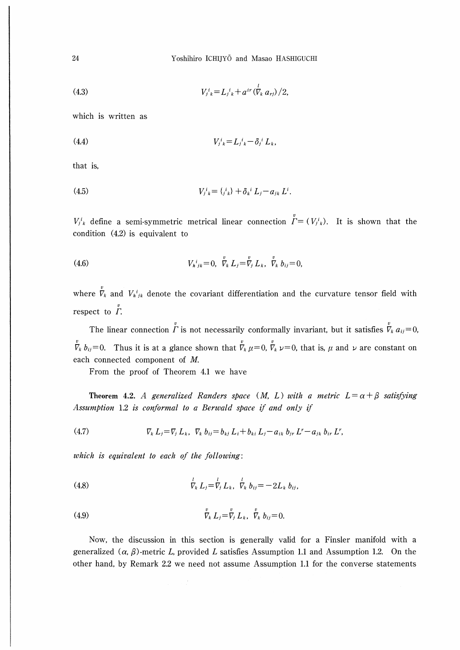Yoshihiro ICHIJYO and Masao HASHIGUCHI

(4.3) 
$$
V_{j k}^{i} = L_{j k}^{i} + a^{i r} (\overline{V}_{k} a_{r j}) / 2,
$$

which is written as

(4.4)

\n
$$
V_{j\ k}^i = L_{j\ k}^i - \delta_j^i L_k,
$$

that is,

(4.5) 
$$
V_{j\ k}^i = \{j\ k}^i + \delta_k^i L_j - a_{jk} L^i.
$$

 $V_{j,k}^{i}$  define a semi-symmetric metrical linear connection  $\overline{\Gamma} = (V_{j,k}^{i})$ . It is shown that the condition (4.2) is equivalent to

(4.6) 
$$
V_{h\,j_k} = 0, \quad \stackrel{v}{V}_k L_j = \stackrel{v}{V}_j L_k, \quad \stackrel{v}{V}_k b_{ij} = 0
$$

where  $\overline{V}_k$  and  $V_h^i{}_{jk}$  denote the covariant differentiation and the curvature tensor field with respect to  $\overline{r}$ .

The linear connection  $\Gamma$  is not necessarily conformally invariant, but it satisfies  $\nabla_k a_{ij} = 0$  $\eta$   $\eta$  $\nabla_k b_{ij}=0$ . Thus it is at a glance shown that  $\nabla_k \mu=0$ ,  $\nabla_k \nu=0$ , that is,  $\mu$  and  $\nu$  are constant on each connected component of M.

 $\upsilon$  v

From the proof of Theorem 4.1 we have

Theorem 4.2. A generalized Randers space (M, L) with a metric  $L = \alpha + \beta$  satisfying Assumption 1.2 is conformal to a Berwald space if and only if

(4.7) 
$$
\nabla_k L_j = \nabla_j L_k, \ \nabla_k b_{ij} = b_{kj} L_i + b_{ki} L_j - a_{ik} b_{jr} L^r - a_{jk} b_{ir} L^r,
$$

which is equivalent to each of the following:

(4.8) 
$$
\stackrel{l}{V}_{k} L_{j} = \stackrel{l}{V}_{j} L_{k}, \stackrel{l}{V}_{k} b_{ij} = -2L_{k} b_{ij},
$$

(4.9) 
$$
\stackrel{v}{V}_k L_j = \stackrel{v}{V}_j L_k, \stackrel{v}{V}_k b_{ij} = 0.
$$

Now, the discussion in this section is generally valid for a Finsler manifold with a generalized  $(\alpha, \beta)$ -metric L, provided L satisfies Assumption 1.1 and Assumption 1.2. On the other hand, by Remark 2.2 we need not assume Assumption 1.1 for the converse statements

24